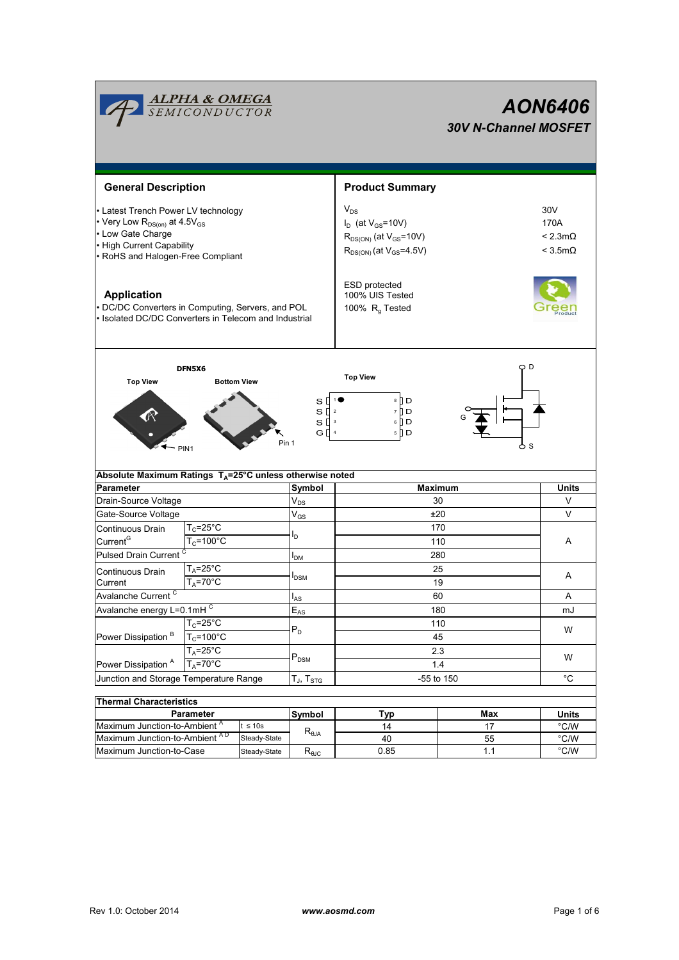|                                                                                                                                                                                    | <b>ALPHA &amp; OMEGA</b><br>SEMICONDUCTOR |                             |                                                                     | <b>AON6406</b><br><b>30V N-Channel MOSFET</b>                                                               |                       |                                                    |  |  |
|------------------------------------------------------------------------------------------------------------------------------------------------------------------------------------|-------------------------------------------|-----------------------------|---------------------------------------------------------------------|-------------------------------------------------------------------------------------------------------------|-----------------------|----------------------------------------------------|--|--|
| <b>General Description</b>                                                                                                                                                         |                                           |                             |                                                                     | <b>Product Summary</b>                                                                                      |                       |                                                    |  |  |
| • Latest Trench Power LV technology<br>• Very Low R <sub>DS(on)</sub> at 4.5V <sub>GS</sub><br>• Low Gate Charge<br>• High Current Capability<br>• RoHS and Halogen-Free Compliant |                                           |                             |                                                                     | $V_{DS}$<br>$I_D$ (at $V_{GS}$ =10V)<br>$R_{DS(ON)}$ (at $V_{GS}$ =10V)<br>$R_{DS(ON)}$ (at $V_{GS}$ =4.5V) |                       | 30V<br>170A<br>$< 2.3m\Omega$<br>$<$ 3.5m $\Omega$ |  |  |
| <b>Application</b><br>• DC/DC Converters in Computing, Servers, and POL<br>• Isolated DC/DC Converters in Telecom and Industrial                                                   |                                           |                             |                                                                     | ESD protected<br>100% UIS Tested<br>100% $R_q$ Tested                                                       |                       |                                                    |  |  |
| <b>Top View</b>                                                                                                                                                                    | DFN5X6<br>PIN <sub>1</sub>                | <b>Bottom View</b><br>Pin 1 | s [<br>s₫<br>s [<br>$\overline{\mathbf{3}}$<br>GΠ<br>$\overline{4}$ | <b>Top View</b><br>8 ∐ D<br>7 I D<br>$\overline{2}$<br>6 <b>D</b><br>5   D                                  | O D<br>6 s            |                                                    |  |  |
| Absolute Maximum Ratings T <sub>A</sub> =25°C unless otherwise noted                                                                                                               |                                           |                             |                                                                     |                                                                                                             |                       |                                                    |  |  |
| <b>Parameter</b>                                                                                                                                                                   |                                           |                             | Symbol                                                              | <b>Maximum</b>                                                                                              |                       | Units                                              |  |  |
| Drain-Source Voltage                                                                                                                                                               |                                           |                             | $V_{DS}$                                                            | 30<br>±20                                                                                                   |                       | V                                                  |  |  |
| Gate-Source Voltage                                                                                                                                                                |                                           |                             | $\mathsf{V}_{\mathsf{GS}}$                                          | 170                                                                                                         |                       | V                                                  |  |  |
| $T_c = 25$ °C<br>Continuous Drain<br>Current <sup>G</sup><br>$T_c = 100^{\circ}$ C                                                                                                 |                                           |                             | ΙD                                                                  | 110                                                                                                         |                       |                                                    |  |  |
| Pulsed Drain Current <sup>C</sup>                                                                                                                                                  |                                           |                             |                                                                     | 280                                                                                                         |                       | Α                                                  |  |  |
| $T_A = 25^\circ C$                                                                                                                                                                 |                                           |                             | <b>I</b> <sub>DM</sub>                                              | 25                                                                                                          |                       |                                                    |  |  |
| Continuous Drain<br>Current                                                                                                                                                        | $T_A = 70^\circ C$                        |                             | <b>I</b> <sub>DSM</sub>                                             | 19                                                                                                          |                       | A                                                  |  |  |
| Avalanche Current <sup>C</sup>                                                                                                                                                     |                                           |                             | $I_{AS}$                                                            | 60                                                                                                          |                       | A                                                  |  |  |
| Avalanche energy L=0.1mHC                                                                                                                                                          |                                           |                             | $\mathsf{E}_{\mathsf{AS}}$                                          | 180                                                                                                         |                       | mJ                                                 |  |  |
| $T_c = 25^{\circ}C$                                                                                                                                                                |                                           |                             |                                                                     | 110                                                                                                         |                       |                                                    |  |  |
| $T_c = 100^{\circ}$ C<br>Power Dissipation <sup>B</sup><br>$T_A = 25^\circ C$                                                                                                      |                                           |                             | $\mathsf{P}_\mathsf{D}$                                             | 45                                                                                                          |                       | W                                                  |  |  |
|                                                                                                                                                                                    |                                           |                             |                                                                     |                                                                                                             | 2.3                   |                                                    |  |  |
| $T_A = 70^\circ C$<br>Power Dissipation <sup>A</sup>                                                                                                                               |                                           | $\mathsf{P}_\mathsf{DSM}$   | 1.4                                                                 |                                                                                                             | W                     |                                                    |  |  |
| Junction and Storage Temperature Range                                                                                                                                             |                                           |                             | $\mathsf{T}_{\mathsf{J}},\,\mathsf{T}_{\mathsf{STG}}$               | -55 to 150                                                                                                  |                       | $^{\circ}$ C                                       |  |  |
|                                                                                                                                                                                    |                                           |                             |                                                                     |                                                                                                             |                       |                                                    |  |  |
| <b>Thermal Characteristics</b>                                                                                                                                                     |                                           |                             |                                                                     |                                                                                                             |                       |                                                    |  |  |
| Parameter                                                                                                                                                                          |                                           | Symbol                      | <b>Typ</b>                                                          | Max                                                                                                         | <b>Units</b>          |                                                    |  |  |
| Maximum Junction-to-Ambient A<br>$t \leq 10s$<br>Maximum Junction-to-Ambient AD<br>Steady-State                                                                                    |                                           | $R_{\theta$ JA              | 14<br>40                                                            | 17<br>55                                                                                                    | $\degree$ C/W<br>°C/W |                                                    |  |  |
| Maximum Junction-to-Case<br>Steady-State                                                                                                                                           |                                           | $R_{\theta \text{JC}}$      | 0.85                                                                | 1.1                                                                                                         | $^{\circ}$ C/W        |                                                    |  |  |
|                                                                                                                                                                                    |                                           |                             |                                                                     |                                                                                                             |                       |                                                    |  |  |

Г

π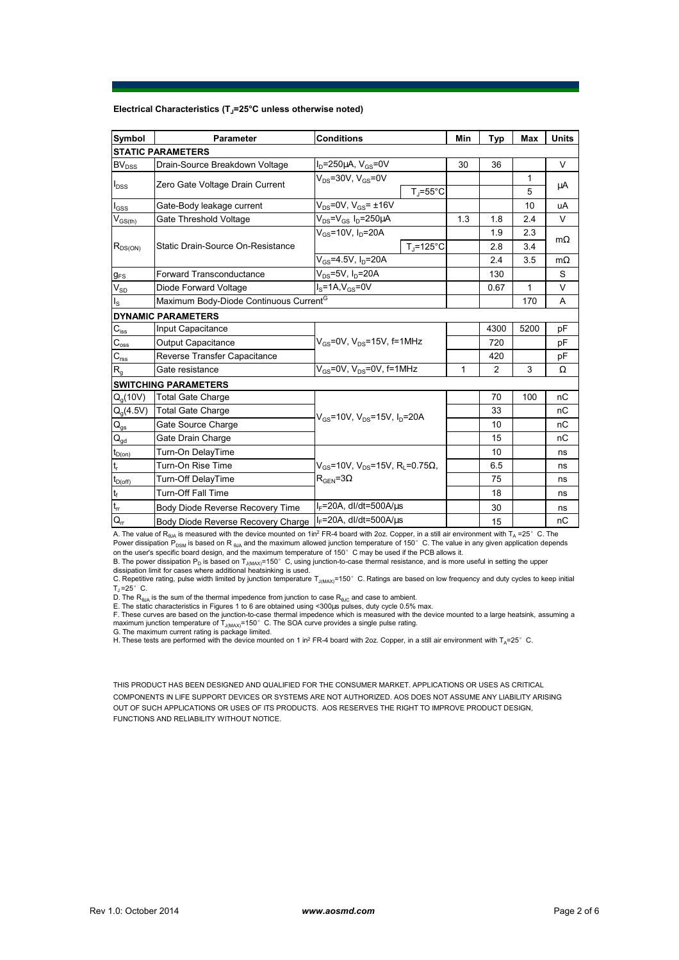## **Electrical Characteristics (TJ=25°C unless otherwise noted)**

| Symbol                     | <b>Conditions</b><br>Parameter                                                          |                                                                 |                      | Min | <b>Typ</b>     | Max  | <b>Units</b> |  |  |  |  |  |  |
|----------------------------|-----------------------------------------------------------------------------------------|-----------------------------------------------------------------|----------------------|-----|----------------|------|--------------|--|--|--|--|--|--|
| <b>STATIC PARAMETERS</b>   |                                                                                         |                                                                 |                      |     |                |      |              |  |  |  |  |  |  |
| $BV_{DSS}$                 | Drain-Source Breakdown Voltage                                                          | $I_D = 250 \mu A$ , $V_{GS} = 0V$                               |                      | 30  | 36             |      | V            |  |  |  |  |  |  |
| $I_{DSS}$                  | Zero Gate Voltage Drain Current                                                         | $V_{DS}$ =30V, $V_{GS}$ =0V                                     |                      |     |                | 1    | μA           |  |  |  |  |  |  |
|                            |                                                                                         |                                                                 | $T_1 = 55^{\circ}C$  |     |                | 5    |              |  |  |  |  |  |  |
| $I_{\rm GSS}$              | Gate-Body leakage current                                                               | $V_{DS} = 0V$ , $V_{GS} = \pm 16V$                              |                      |     |                | 10   | uA           |  |  |  |  |  |  |
| $V_{GS(th)}$               | Gate Threshold Voltage                                                                  | $V_{DS} = V_{GS} I_D = 250 \mu A$                               |                      |     |                | 2.4  | $\vee$       |  |  |  |  |  |  |
| $R_{DS(ON)}$               |                                                                                         | $V_{gs}$ =10V, I <sub>n</sub> =20A                              |                      |     | 1.9            | 2.3  |              |  |  |  |  |  |  |
|                            | Static Drain-Source On-Resistance                                                       |                                                                 | $T_i = 125^{\circ}C$ |     | 2.8            | 3.4  | $m\Omega$    |  |  |  |  |  |  |
|                            |                                                                                         | $V_{GS} = 4.5V, I_D = 20A$                                      |                      |     | 2.4            | 3.5  | $m\Omega$    |  |  |  |  |  |  |
| $g_{FS}$                   | $V_{DS}$ =5V, I <sub>D</sub> =20A<br>Forward Transconductance                           |                                                                 |                      |     | 130            |      | S            |  |  |  |  |  |  |
| $V_{SD}$                   | $I_S = 1A$ , $V_{GS} = 0V$<br>Diode Forward Voltage                                     |                                                                 |                      |     | 0.67           | 1    | $\vee$       |  |  |  |  |  |  |
| $I_{\rm S}$                | Maximum Body-Diode Continuous Current <sup>G</sup>                                      |                                                                 |                      | 170 | A              |      |              |  |  |  |  |  |  |
|                            | <b>DYNAMIC PARAMETERS</b>                                                               |                                                                 |                      |     |                |      |              |  |  |  |  |  |  |
| $C_{\text{iss}}$           | <b>Input Capacitance</b>                                                                |                                                                 |                      |     | 4300           | 5200 | pF           |  |  |  |  |  |  |
| $\mathbf{C}_{\text{oss}}$  | <b>Output Capacitance</b>                                                               | $V_{\text{GS}}$ =0V, $V_{\text{DS}}$ =15V, f=1MHz               |                      |     | 720            |      | рF           |  |  |  |  |  |  |
| $C_{\rm rss}$              | Reverse Transfer Capacitance                                                            |                                                                 |                      | 420 |                | pF   |              |  |  |  |  |  |  |
| $R_{q}$                    | Gate resistance                                                                         | $V_{GS}$ =0V, $V_{DS}$ =0V, f=1MHz                              |                      | 1   | $\overline{2}$ | 3    | Ω            |  |  |  |  |  |  |
|                            | <b>SWITCHING PARAMETERS</b>                                                             |                                                                 |                      |     |                |      |              |  |  |  |  |  |  |
| Q <sub>a</sub> (10V)       | <b>Total Gate Charge</b>                                                                | $V_{\text{GS}}$ =10V, $V_{\text{DS}}$ =15V, $I_{\text{D}}$ =20A |                      |     | 70             | 100  | nC           |  |  |  |  |  |  |
| $Q_q(4.5V)$                | <b>Total Gate Charge</b>                                                                |                                                                 |                      |     | 33             |      | nC           |  |  |  |  |  |  |
| $\mathsf{Q}_{\mathsf{gs}}$ | Gate Source Charge                                                                      |                                                                 |                      |     | 10             |      | nC           |  |  |  |  |  |  |
| $\mathsf{Q}_{\text{gd}}$   | Gate Drain Charge                                                                       |                                                                 |                      | 15  |                | nC   |              |  |  |  |  |  |  |
| $t_{D(0n)}$                | Turn-On DelayTime                                                                       |                                                                 |                      |     | 10             |      | ns           |  |  |  |  |  |  |
| t,                         | Turn-On Rise Time<br>$V_{\text{cs}}$ =10V, $V_{\text{DS}}$ =15V, R <sub>i</sub> =0.75Ω, |                                                                 |                      |     | 6.5            |      | ns           |  |  |  |  |  |  |
| $t_{D{\rm (off)}}$         | <b>Turn-Off DelayTime</b>                                                               | $R_{\text{GEN}} = 3\Omega$                                      |                      |     | 75             |      | ns           |  |  |  |  |  |  |
| $\mathbf{t}_\mathrm{f}$    | <b>Turn-Off Fall Time</b>                                                               |                                                                 |                      | 18  |                | ns   |              |  |  |  |  |  |  |
| $\mathfrak{t}_{\text{rr}}$ | Body Diode Reverse Recovery Time                                                        | $I_F$ =20A, dl/dt=500A/ $\mu$ s                                 |                      | 30  |                | ns   |              |  |  |  |  |  |  |
| $Q_{\text{rr}}$            | $IE=20A$ , dl/dt=500A/us<br>Body Diode Reverse Recovery Charge                          |                                                                 |                      |     | 15             |      | nC           |  |  |  |  |  |  |

A. The value of R<sub>θJA</sub> is measured with the device mounted on 1in<sup>2</sup> FR-4 board with 2oz. Copper, in a still air environment with T<sub>A</sub> =25°C. The Power dissipation  $\overline{P}_{\text{DSM}}$  is based on R  $_{\text{6JA}}$  and the maximum allowed junction temperature of 150°C. The value in any given application depends on the user's specific board design, and the maximum temperature of 150 $^{\circ}$  C may be used if the PCB allows it.

B. The power dissipation P<sub>D</sub> is based on T<sub>J(MAX)</sub>=150°C, using junction-to-case thermal resistance, and is more useful in setting the upper<br>dissipation limit for cases where additional heatsinking is used.

C. Repetitive rating, pulse width limited by junction temperature T<sub>J(MAX)</sub>=150°C. Ratings are based on low frequency and duty cycles to keep initial  $T_{\rm J}$  =25° C.

D. The R<sub>suA</sub> is the sum of the thermal impedence from junction to case R<sub>suc</sub> and case to ambient.<br>E. The static characteristics in Figures 1 to 6 are obtained using <300µs pulses, duty cycle 0.5% max.<br>F. These curves ar

maximum junction temperature of T<sub>J(MAX)</sub>=150°C. The SOA curve provides a single pulse rating.<br>G. The maximum current rating is package limited.<br>H. These tests are performed with the device mounted on 1 in<sup>2</sup> FR-4 board wi

THIS PRODUCT HAS BEEN DESIGNED AND QUALIFIED FOR THE CONSUMER MARKET. APPLICATIONS OR USES AS CRITICAL COMPONENTS IN LIFE SUPPORT DEVICES OR SYSTEMS ARE NOT AUTHORIZED. AOS DOES NOT ASSUME ANY LIABILITY ARISING OUT OF SUCH APPLICATIONS OR USES OF ITS PRODUCTS. AOS RESERVES THE RIGHT TO IMPROVE PRODUCT DESIGN, FUNCTIONS AND RELIABILITY WITHOUT NOTICE.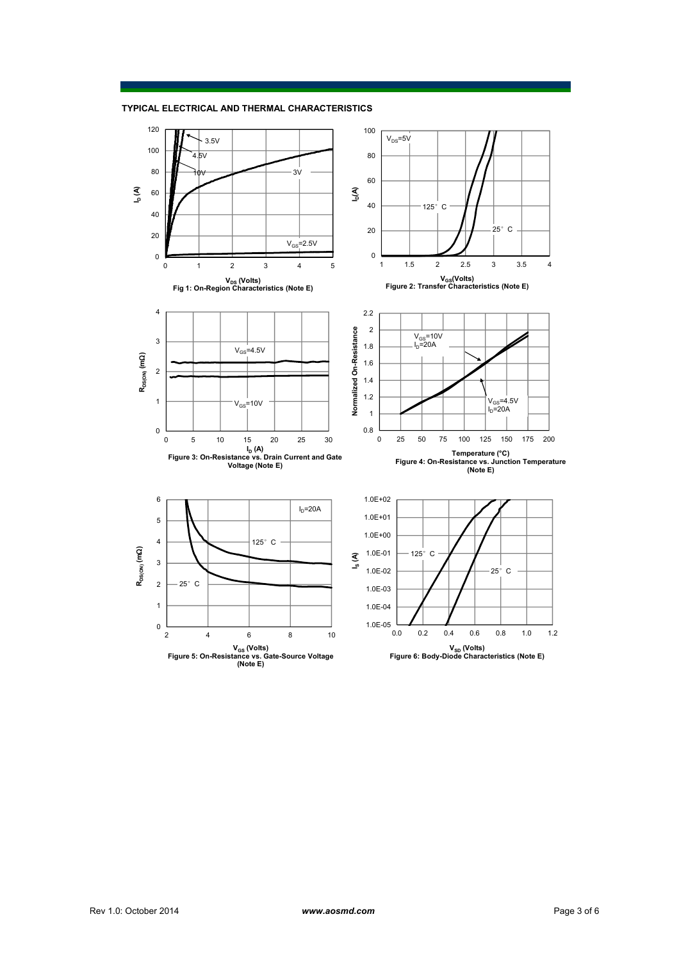

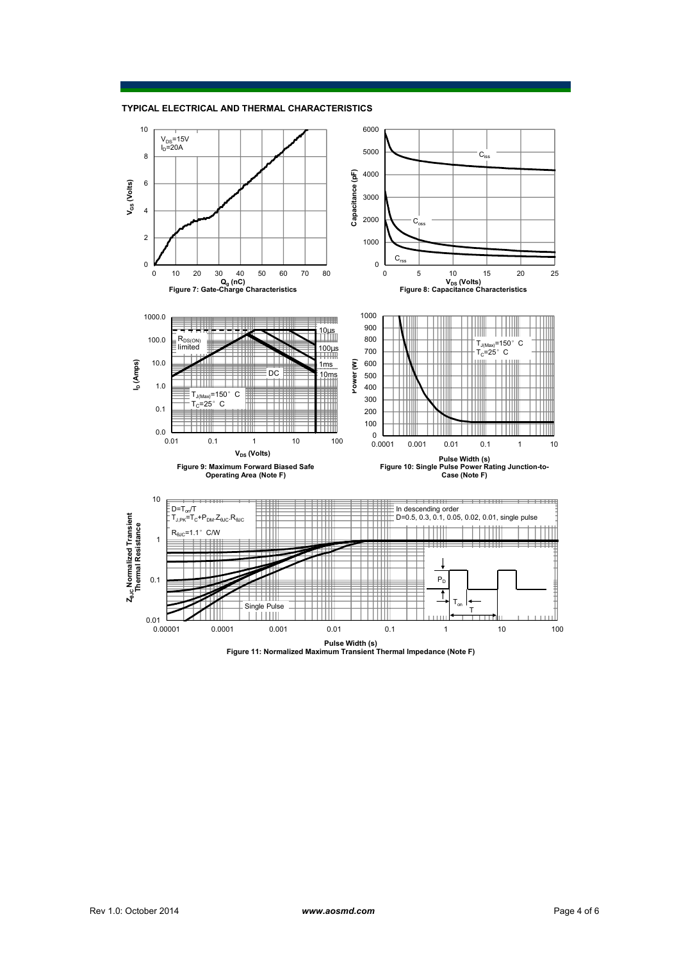

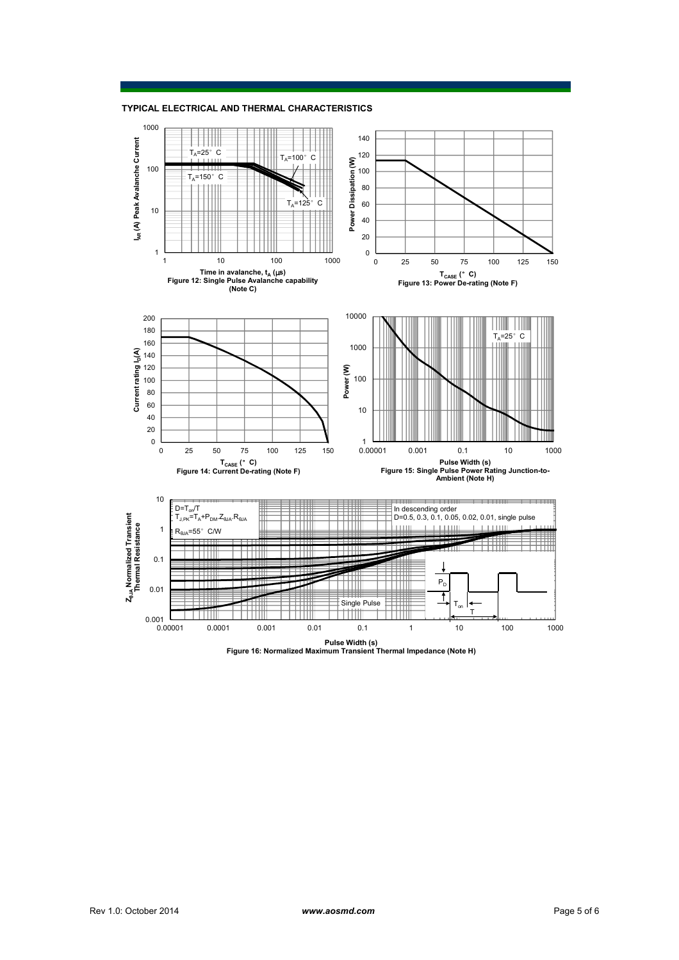**TYPICAL ELECTRICAL AND THERMAL CHARACTERISTICS**